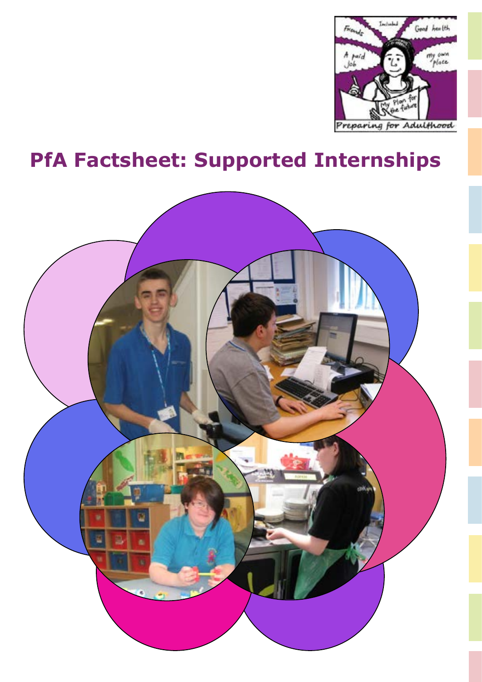

# **PfA Factsheet: Supported Internships**

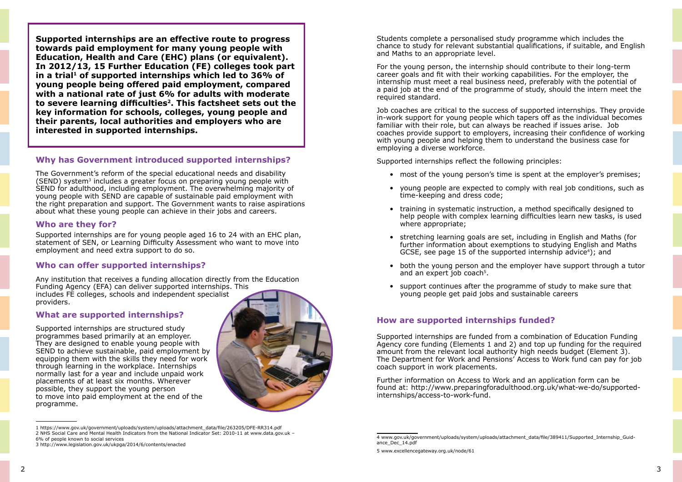**Supported internships are an effective route to progress towards paid employment for many young people with Education, Health and Care (EHC) plans (or equivalent). In 2012/13, 15 Further Education (FE) colleges took part**  in a trial<sup>1</sup> of supported internships which led to 36% of **young people being offered paid employment, compared with a national rate of just 6% for adults with moderate to severe learning difficulties2. This factsheet sets out the key information for schools, colleges, young people and their parents, local authorities and employers who are interested in supported internships.**

The Government's reform of the special educational needs and disability (SEND) system3 includes a greater focus on preparing young people with SEND for adulthood, including employment. The overwhelming majority of young people with SEND are capable of sustainable paid employment with the right preparation and support. The Government wants to raise aspirations about what these young people can achieve in their jobs and careers.

## **Why has Government introduced supported internships?**

### **Who are they for?**

Supported internships are for young people aged 16 to 24 with an EHC plan, statement of SEN, or Learning Difficulty Assessment who want to move into employment and need extra support to do so.

## **Who can offer supported internships?**

Any institution that receives a funding allocation directly from the Education Funding Agency (EFA) can deliver supported internships. This includes FE colleges, schools and independent specialist providers.

## **What are supported internships?**

Supported internships are structured study programmes based primarily at an employer. They are designed to enable young people with SEND to achieve sustainable, paid employment by equipping them with the skills they need for work through learning in the workplace. Internships normally last for a year and include unpaid work placements of at least six months. Wherever possible, they support the young person to move into paid employment at the end of the programme.

Students complete a personalised study programme which includes the chance to study for relevant substantial qualifications, if suitable, and English and Maths to an appropriate level.

For the young person, the internship should contribute to their long-term career goals and fit with their working capabilities. For the employer, the internship must meet a real business need, preferably with the potential of a paid job at the end of the programme of study, should the intern meet the required standard.

Job coaches are critical to the success of supported internships. They provide in-work support for young people which tapers off as the individual becomes familiar with their role, but can always be reached if issues arise. Job coaches provide support to employers, increasing their confidence of working with young people and helping them to understand the business case for employing a diverse workforce.

Supported internships reflect the following principles:

• most of the young person's time is spent at the employer's premises;

• young people are expected to comply with real job conditions, such as

help people with complex learning difficulties learn new tasks, is used

further information about exemptions to studying English and Maths

- 
- time-keeping and dress code;
- training in systematic instruction, a method specifically designed to where appropriate;
- stretching learning goals are set, including in English and Maths (for GCSE, see page 15 of the supported internship advice<sup>4</sup>); and
- and an expert job coach<sup>5</sup>.
- support continues after the programme of study to make sure that young people get paid jobs and sustainable careers

• both the young person and the employer have support through a tutor

# **How are supported internships funded?**

Supported internships are funded from a combination of Education Funding Agency core funding (Elements 1 and 2) and top up funding for the required amount from the relevant local authority high needs budget (Element 3). The Department for Work and Pensions' Access to Work fund can pay for job coach support in work placements.

Further information on Access to Work and an application form can be found at: http://www.preparingforadulthood.org.uk/what-we-do/supportedinternships/access-to-work-fund.

[<sup>1</sup> https://www.gov.uk/government/uploads/system/uploads/attachment\\_data/file/263205/DFE-RR314.pdf](https://www.gov.uk/government/uploads/system/uploads/attachment_data/file/263205/DFE-RR314.pdf) 2 NHS Social Care and Mental Health Indicators from the National Indicator Set: 2010-11 at [www.data.gov.uk](http://www.data.gov.uk/) –

<sup>6%</sup> of people known to social services

<sup>3</sup><http://www.legislation.gov.uk/ukpga/2014/6/contents/enacted>

[<sup>4</sup> www.gov.uk/government/uploads/system/uploads/attachment\\_data/file/389411/Supported\\_Internship\\_Guid](http://www.gov.uk/government/uploads/system/uploads/attachment_data/file/389411/Supported_Internship_Guidance_Dec_14.pdf)[ance\\_Dec\\_14.pdf](http://www.gov.uk/government/uploads/system/uploads/attachment_data/file/389411/Supported_Internship_Guidance_Dec_14.pdf)

[<sup>5</sup> www.excellencegateway.org.uk/node/61](http://www.excellencegateway.org.uk/node/61)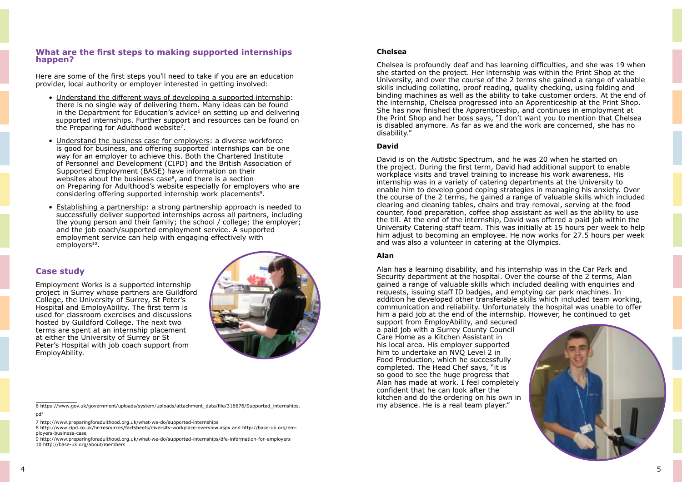#### **What are the first steps to making supported internships happen?**

- Understand the different ways of developing a supported internship: there is no single way of delivering them. Many ideas can be found in the Department for Education's advice<sup>6</sup> on setting up and delivering supported internships. Further support and resources can be found on the Preparing for Adulthood website7.
- Understand the business case for employers: a diverse workforce is good for business, and offering supported internships can be one way for an employer to achieve this. Both the Chartered Institute of Personnel and Development (CIPD) and the British Association of Supported Employment (BASE) have information on their websites about the business case<sup>8</sup>, and there is a section on Preparing for Adulthood's website especially for employers who are considering offering supported internship work placements<sup>9</sup>.
- Establishing a partnership: a strong partnership approach is needed to successfully deliver supported internships across all partners, including the young person and their family; the school / college; the employer; and the job coach/supported employment service. A supported employment service can help with engaging effectively with employers<sup>10</sup>.

Here are some of the first steps you'll need to take if you are an education provider, local authority or employer interested in getting involved:

#### **Case study**

Employment Works is a supported internship project in Surrey whose partners are Guildford College, the University of Surrey, St Peter's Hospital and EmployAbility. The first term is used for classroom exercises and discussions hosted by Guildford College. The next two terms are spent at an internship placement at either the University of Surrey or St Peter's Hospital with job coach support from EmployAbility.



[6 https://www.gov.uk/government/uploads/system/uploads/attachment\\_data/file/316676/Supported\\_internships.](https://www.gov.uk/government/uploads/system/uploads/attachment_data/file/316676/Supported_internships.pdf) [pdf](https://www.gov.uk/government/uploads/system/uploads/attachment_data/file/316676/Supported_internships.pdf)

Alan has a learning disability, and his internship was in the Car Park and Security department at the hospital. Over the course of the 2 terms, Alan gained a range of valuable skills which included dealing with enquiries and requests, issuing staff ID badges, and emptying car park machines. In addition he developed other transferable skills which included team working, communication and reliability. Unfortunately the hospital was unable to offer him a paid job at the end of the internship. However, he continued to get support from EmployAbility, and secured a paid job with a Surrey County Council Care Home as a Kitchen Assistant in his local area. His employer supported him to undertake an NVQ Level 2 in Food Production, which he successfully completed. The Head Chef says, "it is so good to see the huge progress that Alan has made at work. I feel completely confident that he can look after the kitchen and do the ordering on his own in my absence. He is a real team player."

#### **Chelsea**

Chelsea is profoundly deaf and has learning difficulties, and she was 19 when she started on the project. Her internship was within the Print Shop at the University, and over the course of the 2 terms she gained a range of valuable skills including collating, proof reading, quality checking, using folding and binding machines as well as the ability to take customer orders. At the end of the internship, Chelsea progressed into an Apprenticeship at the Print Shop. She has now finished the Apprenticeship, and continues in employment at the Print Shop and her boss says, "I don't want you to mention that Chelsea is disabled anymore. As far as we and the work are concerned, she has no disability."

#### **David**

David is on the Autistic Spectrum, and he was 20 when he started on the project. During the first term, David had additional support to enable workplace visits and travel training to increase his work awareness. His internship was in a variety of catering departments at the University to enable him to develop good coping strategies in managing his anxiety. Over the course of the 2 terms, he gained a range of valuable skills which included clearing and cleaning tables, chairs and tray removal, serving at the food counter, food preparation, coffee shop assistant as well as the ability to use the till. At the end of the internship, David was offered a paid job within the University Catering staff team. This was initially at 15 hours per week to help him adjust to becoming an employee. He now works for 27.5 hours per week and was also a volunteer in catering at the Olympics.

#### **Alan**

[<sup>7</sup> http://www.preparingforadulthood.org.uk/what-we-do/supported-internships](http://www.preparingforadulthood.org.uk/what-we-do/supported-internships)

[<sup>8</sup> http://www.cipd.co.uk/hr-resources/factsheets/diversity-workplace-overview.aspx](http://www.cipd.co.uk/hr-resources/factsheets/diversity-workplace-overview.aspx) and [http://base-uk.org/em](http://base-uk.org/employers-business-case)[ployers-business-case](http://base-uk.org/employers-business-case)

[<sup>9</sup> http://www.preparingforadulthood.org.uk/what-we-do/supported-internships/dfe-information-for-employers](http://www.preparingforadulthood.org.uk/what-we-do/supported-internships/dfe-information-for-employers) [10 http://base-uk.org/about/members](http://base-uk.org/about/members)